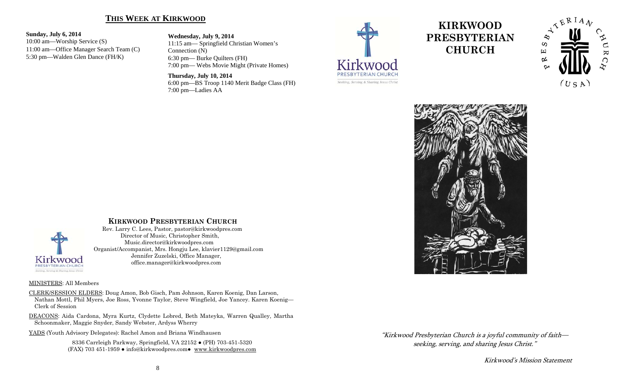## **THIS WEEK AT KIRKWOOD**

#### **Sunday, July 6, 2014**

10:00 am—Worship Service (S) 11:00 am—Office Manager Search Team (C) 5:30 pm—Walden Glen Dance (FH/K)

**Wednesday, July 9, 2014**  11:15 am— Springfield Christian Women's Connection (N) 6:30 pm— Burke Quilters (FH) 7:00 pm— Webs Movie Might (Private Homes)

**Thursday, July 10, 2014**  6:00 pm—BS Troop 1140 Merit Badge Class (FH) 7:00 pm—Ladies AA



# **KIRKWOOD PRESBYTERIAN CHURCH**







### **KIRKWOOD PRESBYTERIAN CHURCH**

 Rev. Larry C. Lees, Pastor, pastor@kirkwoodpres.com Director of Music, Christopher Smith, Music.director@kirkwoodpres.com Organist/Accompanist, Mrs. Hongju Lee, klavier1129@gmail.com Jennifer Zuzelski, Office Manager, office.manager@kirkwoodpres.com

#### MINISTERS: All Members

CLERK/SESSION ELDERS: Doug Amon, Bob Gisch, Pam Johnson, Karen Koenig, Dan Larson, Nathan Mottl, Phil Myers, Joe Ross, Yvonne Taylor, Steve Wingfield, Joe Yancey. Karen Koenig— Clerk of Session

DEACONS: Aida Cardona, Myra Kurtz, Clydette Lobred, Beth Mateyka, Warren Qualley, Martha Schoonmaker, Maggie Snyder, Sandy Webster, Ardyss Wherry

YADS (Youth Advisory Delegates): Rachel Amon and Briana Windhausen

8336 Carrleigh Parkway, Springfield, VA 22152 ● (PH) 703-451-5320 (FAX) 703 451-1959 ● info@kirkwoodpres.com● www.kirkwoodpres.com "Kirkwood Presbyterian Church is a joyful community of faith seeking, serving, and sharing Jesus Christ."

Kirkwood's Mission Statement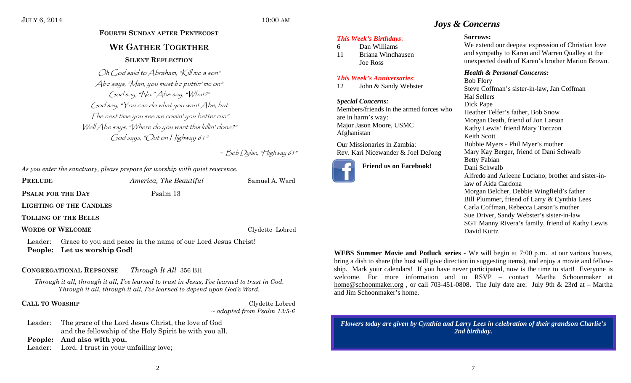#### JULY 6, 2014 10:00 AM

#### **FOURTH SUNDAY AFTER PENTECOST**

## **WE GATHER TOGETHERSILENT REFLECTION**

Oh God said to Abraham, "Kill me a son" Abe says, "Man, you must be puttin' me on" God say, "No." Abe say, "What?" God say, "You can do what you want Abe, but The next time you see me comin' you better run" Well Abe says, "Where do you want this killin' done?" God says, "Out on Highway 61"

 $~\sim$  Bob Dylan, "Highway 61"

*As you enter the sanctuary, please prepare for worship with quiet reverence.* 

| <b>PRELUDE</b>                 |                                                                                             | America, The Beautiful | Samuel A. Ward  |  |
|--------------------------------|---------------------------------------------------------------------------------------------|------------------------|-----------------|--|
| <b>PSALM FOR THE DAY</b>       |                                                                                             | Psalm 13               |                 |  |
| <b>LIGHTING OF THE CANDLES</b> |                                                                                             |                        |                 |  |
| <b>TOLLING OF THE BELLS</b>    |                                                                                             |                        |                 |  |
| WORDS OF WELCOME               |                                                                                             |                        | Clydette Lobred |  |
| Leader:                        | Grace to you and peace in the name of our Lord Jesus Christ!<br>People: Let us worship God! |                        |                 |  |

**CONGREGATIONAL REPSONSE***Through It All* 356 BH

*Through it all, through it all, I've learned to trust in Jesus, I've learned to trust in God. Through it all, through it all, I've learned to depend upon God's Word.* 

**CALL TO**

Clydette Lobred <sup>~</sup>*adapted from Psalm 13:5-6*

| Leader: | The grace of the Lord Jesus Christ, the love of God    |
|---------|--------------------------------------------------------|
|         | and the fellowship of the Holy Spirit be with you all. |
|         | People: And also with you.                             |
|         | Leader: Lord. I trust in your unfailing love;          |

## *Joys & Concerns*

#### *This Week's Birthdays*:

6 Dan Williams 11 Briana Windhausen Joe Ross

#### *This Week's Anniversaries*:

12 John & Sandy Webster

*Special Concerns:*  Members/friends in the armed forces who are in harm's way: Major Jason Moore, USMC Afghanistan

Our Missionaries in Zambia: Rev. Kari Nicewander & Joel DeJong



**Friend us on Facebook!** 

#### **Sorrows:**

We extend our deepest expression of Christian love and sympathy to Karen and Warren Qualley at the unexpected death of Karen's brother Marion Brown.

#### *Health & Personal Concerns:*

Bob Flory Steve Coffman's sister-in-law, Jan Coffman Hal Sellers Dick Pape Heather Telfer's father, Bob Snow Morgan Death, friend of Jon Larson Kathy Lewis' friend Mary Torczon Keith Scott Bobbie Myers - Phil Myer's mother Mary Kay Berger, friend of Dani Schwalb Betty Fabian Dani Schwalb Alfredo and Arleene Luciano, brother and sister-inlaw of Aida Cardona Morgan Belcher, Debbie Wingfield's father Bill Plummer, friend of Larry & Cynthia Lees Carla Coffman, Rebecca Larson's mother Sue Driver, Sandy Webster's sister-in-law SGT Manny Rivera's family, friend of Kathy Lewis David Kurtz

**WEBS Summer Movie and Potluck series -** We will begin at 7:00 p.m. at our various houses, bring a dish to share (the host will give direction in suggesting items), and enjoy a movie and fellowship. Mark your calendars! If you have never participated, now is the time to start! Everyone is welcome. For more information and to RSVP – contact Martha Schoonmaker at home@schoonmaker.org , or call 703-451-0808. The July date are: July 9th & 23rd at – Martha and Jim Schoonmaker's home.

*Flowers today are given by Cynthia and Larry Lees in celebration of their grandson Charlie's 2nd birthday.*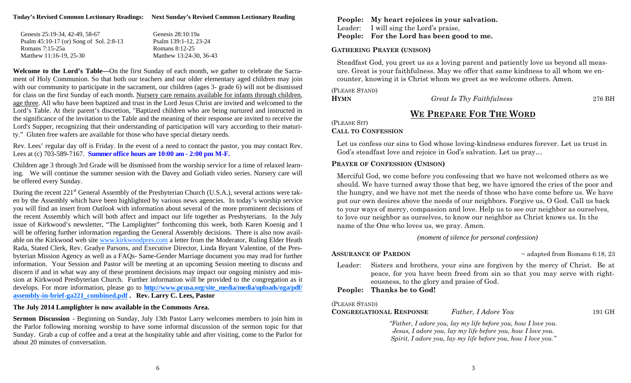| Genesis 25:19-34, 42-49, 58-67          | Genesis 28:10:19a       |
|-----------------------------------------|-------------------------|
| Psalm 45:10-17 (or) Song of Sol. 2:8-13 | Psalm 139:1-12, 23-24   |
| Romans 7:15-25a                         | Romans 8:12-25          |
| Matthew 11:16-19, 25-30                 | Matthew 13:24-30, 36-43 |

**Welcome to the Lord's Table—**On the first Sunday of each month, we gather to celebrate the Sacrament of Holy Communion. So that both our teachers and our older elementary aged children may join with our community to participate in the sacrament, our children (ages 3- grade 6) will not be dismissed for class on the first Sunday of each month. Nursery care remains available for infants through children, age three. All who have been baptized and trust in the Lord Jesus Christ are invited and welcomed to the Lord's Table. At their parent's discretion, "Baptized children who are being nurtured and instructed in the significance of the invitation to the Table and the meaning of their response are invited to receive the Lord's Supper, recognizing that their understanding of participation will vary according to their maturity." Gluten free wafers are available for those who have special dietary needs.

Rev. Lees' regular day off is Friday. In the event of a need to contact the pastor, you may contact Rev. Lees at (c) 703-589-7167. **Summer office hours are 10:00 am - 2:00 pm M-F.** 

Children age 3 through 3rd Grade will be dismissed from the worship service for a time of relaxed learning. We will continue the summer session with the Davey and Goliath video series. Nursery care will be offered every Sunday.

During the recent 221<sup>st</sup> General Assembly of the Presbyterian Church (U.S.A.), several actions were taken by the Assembly which have been highlighted by various news agencies. In today's worship service you will find an insert from *Outlook* with information about several of the more prominent decisions of the recent Assembly which will both affect and impact our life together as Presbyterians. In the July issue of Kirkwood's newsletter, "The Lamplighter" forthcoming this week, both Karen Koenig and I will be offering further information regarding the General Assembly decisions. There is also now available on the Kirkwood web site www.kirkwoodpres.com a letter from the Moderator, Ruling Elder Heath Rada, Stated Clerk, Rev. Gradye Parsons, and Executive Director, Linda Bryant Valentine, of the Presbyterian Mission Agency as well as a FAQs- Same-Gender Marriage document you may read for further information. Your Session and Pastor will be meeting at an upcoming Session meeting to discuss and discern if and in what way any of these prominent decisions may impact our ongoing ministry and mission at Kirkwood Presbyterian Church. Further information will be provided to the congregation as it develops. For more information, please go to **http://www.pcusa.org/site\_media/media/uploads/oga/pdf/ assembly-in-brief-ga221\_combined.pdf . Rev. Larry C. Lees, Pastor**

#### **The July 2014 Lamplighter is now available in the Commons Area.**

**Sermon Discussion** - Beginning on Sunday, July 13th Pastor Larry welcomes members to join him in the Parlor following morning worship to have some informal discussion of the sermon topic for that Sunday. Grab a cup of coffee and a treat at the hospitality table and after visiting, come to the Parlor for about 20 minutes of conversation.

**People: My heart rejoices in your salvation.**  Leader: I will sing the Lord's praise, **People: For the Lord has been good to me.** 

### **GATHERING PRAYER (UNISON)**

Steadfast God, you greet us as a loving parent and patiently love us beyond all measure. Great is your faithfulness. May we offer that same kindness to all whom we encounter, knowing it is Christ whom we greet as we welcome others. Amen.

(PLEASE STAND)

**HYMN**

*Great Is Thy Faithfulness* 276 BH

## **WE PREPARE FOR THE WORD**

(PLEASE SIT)

#### **CALL TO CONFESSION**

Let us confess our sins to God whose loving-kindness endures forever. Let us trust in God's steadfast love and rejoice in God's salvation. Let us pray…

#### **PRAYER OF CONFESSION (UNISON)**

Merciful God, we come before you confessing that we have not welcomed others as we should. We have turned away those that beg, we have ignored the cries of the poor and the hungry, and we have not met the needs of those who have come before us. We have put our own desires above the needs of our neighbors. Forgive us, O God. Call us back to your ways of mercy, compassion and love. Help us to see our neighbor as ourselves, to love our neighbor as ourselves, to know our neighbor as Christ knows us. In the name of the One who loves us, we pray. Amen.

*(moment of silence for personal confession)*

## **ASSURANCE OF PARDON**

 $\sim$  adapted from Romans 6:18, 23

Leader: Sisters and brothers, your sins are forgiven by the mercy of Christ. Be at peace, for you have been freed from sin so that you may serve with righteousness, to the glory and praise of God.

## **People: Thanks be to God!**

#### (PLEASE STAND)

**CONGREGATIONAL RESPONSE** *Father, I Adore You* 191 GH

*"Father, I adore you, lay my life before you, how I love you. Jesus, I adore you, lay my life before you, how I love you. Spirit, I adore you, lay my life before you, how I love you."*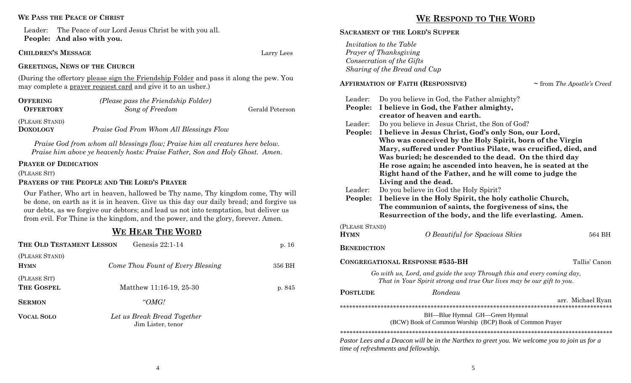#### **WE PASS THE PEACE OF CHRIST**

Leader: The Peace of our Lord Jesus Christ be with you all. **People: And also with you.**

**CHILDREN'S MESSAGE**

Larry Lees

**GREETINGS, NEWS OF THE CHURCH**

(During the offertory please sign the Friendship Folder and pass it along the pew. You may complete a prayer request card and give it to an usher.)

| <b>OFFERING</b><br><b>OFFERTORY</b> | (Please pass the Friendship Folder)<br>Song of Freedom | Gerald Peterson |
|-------------------------------------|--------------------------------------------------------|-----------------|
| (PLEASE STAND)<br><b>DOXOLOGY</b>   | <i>Praise God From Whom All Blessings Flow</i>         |                 |

*Praise God from whom all blessings flow; Praise him all creatures here below. Praise him above ye heavenly hosts: Praise Father, Son and Holy Ghost. Amen.* 

#### **PRAYER OF DEDICATION**

#### (PLEASE SIT)

#### **PRAYERS OF THE PEOPLE AND THE LORD'S PRAYER**

Our Father, Who art in heaven, hallowed be Thy name, Thy kingdom come, Thy will be done, on earth as it is in heaven. Give us this day our daily bread; and forgive us our debts, as we forgive our debtors; and lead us not into temptation, but deliver us from evil. For Thine is the kingdom, and the power, and the glory, forever. Amen.

## **WE HEAR THE WORD**

| THE OLD TESTAMENT LESSON      | p. 16                                            |        |
|-------------------------------|--------------------------------------------------|--------|
| (PLEASE STAND)<br><b>HYMN</b> | Come Thou Fount of Every Blessing                | 356 BH |
| (PLEASE SIT)<br>THE GOSPEL    | Matthew 11:16-19, 25-30                          | p. 845 |
| <b>SERMON</b>                 | " $OMG!$                                         |        |
| <b>VOCAL SOLO</b>             | Let us Break Bread Together<br>Jim Lister, tenor |        |

## **WE RESPOND TO THE WORD**

#### **SACRAMENT OF THE LORD'S SUPPER**

*Invitation to the Table Prayer of Thanksgiving Consecration of the Gifts Sharing of the Bread and Cup* 

#### **AFFIRMATION OF FAITH (RESPONSIVE) ~** from *The Apostle's Creed*

| Leader:<br>People:                       | Do you believe in God, the Father almighty?<br>I believe in God, the Father almighty,                                                                                                                                                                                                                                                                                                                                                                                                                                                                                                                                                                                                                       |                   |  |  |
|------------------------------------------|-------------------------------------------------------------------------------------------------------------------------------------------------------------------------------------------------------------------------------------------------------------------------------------------------------------------------------------------------------------------------------------------------------------------------------------------------------------------------------------------------------------------------------------------------------------------------------------------------------------------------------------------------------------------------------------------------------------|-------------------|--|--|
| Leader:<br>People:<br>Leader:<br>People: | creator of heaven and earth.<br>Do you believe in Jesus Christ, the Son of God?<br>I believe in Jesus Christ, God's only Son, our Lord,<br>Who was conceived by the Holy Spirit, born of the Virgin<br>Mary, suffered under Pontius Pilate, was crucified, died, and<br>Was buried; he descended to the dead. On the third day<br>He rose again; he ascended into heaven, he is seated at the<br>Right hand of the Father, and he will come to judge the<br>Living and the dead.<br>Do you believe in God the Holy Spirit?<br>I believe in the Holy Spirit, the holy catholic Church,<br>The communion of saints, the forgiveness of sins, the<br>Resurrection of the body, and the life everlasting. Amen. |                   |  |  |
| (PLEASE STAND)<br><b>HYMN</b>            | <i>O Beautiful for Spacious Skies</i>                                                                                                                                                                                                                                                                                                                                                                                                                                                                                                                                                                                                                                                                       | 564 BH            |  |  |
| <b>BENEDICTION</b>                       |                                                                                                                                                                                                                                                                                                                                                                                                                                                                                                                                                                                                                                                                                                             |                   |  |  |
|                                          | <b>CONGREGATIONAL RESPONSE #535-BH</b>                                                                                                                                                                                                                                                                                                                                                                                                                                                                                                                                                                                                                                                                      | Tallis' Canon     |  |  |
|                                          | Go with us, Lord, and guide the way Through this and every coming day,<br>That in Your Spirit strong and true Our lives may be our gift to you.                                                                                                                                                                                                                                                                                                                                                                                                                                                                                                                                                             |                   |  |  |
| <b>POSTLUDE</b>                          | Rondeau                                                                                                                                                                                                                                                                                                                                                                                                                                                                                                                                                                                                                                                                                                     |                   |  |  |
|                                          |                                                                                                                                                                                                                                                                                                                                                                                                                                                                                                                                                                                                                                                                                                             | arr. Michael Ryan |  |  |
|                                          | BH—Blue Hymnal GH—Green Hymnal<br>(BCW) Book of Common Worship (BCP) Book of Common Prayer                                                                                                                                                                                                                                                                                                                                                                                                                                                                                                                                                                                                                  |                   |  |  |
|                                          |                                                                                                                                                                                                                                                                                                                                                                                                                                                                                                                                                                                                                                                                                                             |                   |  |  |
|                                          | Pastor Lees and a Deacon will be in the Narthex to greet you. We welcome you to join us for a<br>time of refreshments and fellowship.                                                                                                                                                                                                                                                                                                                                                                                                                                                                                                                                                                       |                   |  |  |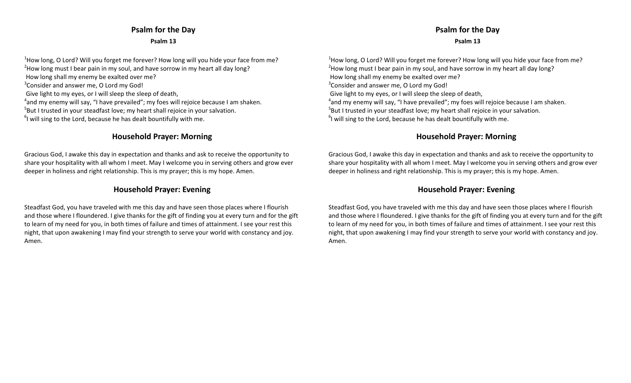## **Psalm for the Day Psalm 13**

 $^1$ How long, O Lord? Will you forget me forever? How long will you hide your face from me? <sup>2</sup>How long must I bear pain in my soul, and have sorrow in my heart all day long? How long shall my enemy be exalted over me?  $3$ Consider and answer me, O Lord my God! Give light to my eyes, or I will sleep the sleep of death,  $^4$ and my enemy will say, "I have prevailed"; my foes will rejoice because I am shaken.  $^5$ But I trusted in your steadfast love; my heart shall rejoice in your salvation.  $<sup>6</sup>$ I will sing to the Lord, because he has dealt bountifully with me.</sup>

## **Household Prayer: Morning**

Gracious God, I awake this day in expectation and thanks and ask to receive the opportunity to share your hospitality with all whom I meet. May I welcome you in serving others and grow ever deeper in holiness and right relationship. This is my prayer; this is my hope. Amen.

## **Household Prayer: Evening**

Steadfast God, you have traveled with me this day and have seen those places where I flourish and those where I floundered. I give thanks for the gift of finding you at every turn and for the gift to learn of my need for you, in both times of failure and times of attainment. I see your rest this night, that upon awakening I may find your strength to serve your world with constancy and joy. Amen.

## **Psalm for the Day Psalm 13**

 $^1$ How long, O Lord? Will you forget me forever? How long will you hide your face from me? <sup>2</sup>How long must I bear pain in my soul, and have sorrow in my heart all day long? How long shall my enemy be exalted over me?  $3$ Consider and answer me, O Lord my God! Give light to my eyes, or I will sleep the sleep of death,  $^4$ and my enemy will say, "I have prevailed"; my foes will rejoice because I am shaken.  $^5$ But I trusted in your steadfast love; my heart shall rejoice in your salvation.  $<sup>6</sup>$ I will sing to the Lord, because he has dealt bountifully with me.</sup>

## **Household Prayer: Morning**

Gracious God, I awake this day in expectation and thanks and ask to receive the opportunity to share your hospitality with all whom I meet. May I welcome you in serving others and grow ever deeper in holiness and right relationship. This is my prayer; this is my hope. Amen.

## **Household Prayer: Evening**

Steadfast God, you have traveled with me this day and have seen those places where I flourish and those where I floundered. I give thanks for the gift of finding you at every turn and for the gift to learn of my need for you, in both times of failure and times of attainment. I see your rest this night, that upon awakening I may find your strength to serve your world with constancy and joy. Amen.